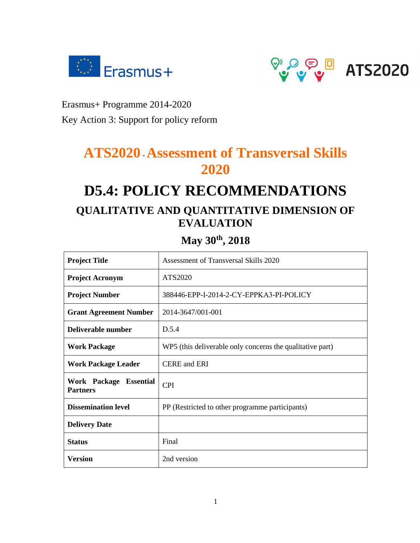



Erasmus+ Programme 2014-2020

Key Action 3: Support for policy reform

# **ATS2020** -**Assessment of Transversal Skills 2020**

# **D5.4: POLICY RECOMMENDATIONS QUALITATIVE AND QUANTITATIVE DIMENSION OF EVALUATION**

# **May 30th, 2018**

| <b>Project Title</b>                      | Assessment of Transversal Skills 2020                     |  |
|-------------------------------------------|-----------------------------------------------------------|--|
| <b>Project Acronym</b>                    | ATS2020                                                   |  |
| <b>Project Number</b>                     | 388446-EPP-I-2014-2-CY-EPPKA3-PI-POLICY                   |  |
| <b>Grant Agreement Number</b>             | 2014-3647/001-001                                         |  |
| Deliverable number                        | D.5.4                                                     |  |
| <b>Work Package</b>                       | WP5 (this deliverable only concerns the qualitative part) |  |
| <b>Work Package Leader</b>                | <b>CERE</b> and <b>ERI</b>                                |  |
| Work Package Essential<br><b>Partners</b> | <b>CPI</b>                                                |  |
| <b>Dissemination level</b>                | PP (Restricted to other programme participants)           |  |
| <b>Delivery Date</b>                      |                                                           |  |
| <b>Status</b>                             | Final                                                     |  |
| <b>Version</b>                            | 2nd version                                               |  |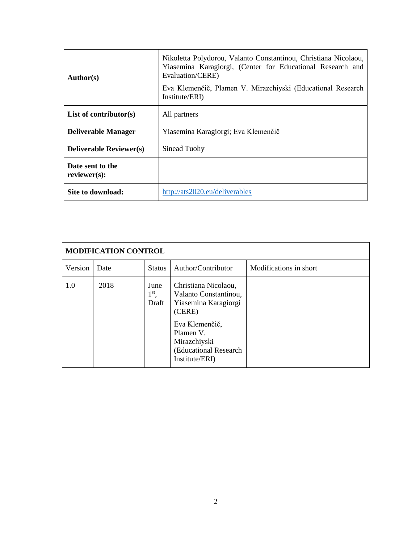| <b>Author(s)</b>                 | Nikoletta Polydorou, Valanto Constantinou, Christiana Nicolaou,<br>Yiasemina Karagiorgi, (Center for Educational Research and<br>Evaluation/CERE)<br>Eva Klemenčič, Plamen V. Mirazchiyski (Educational Research<br>Institute/ERI) |  |
|----------------------------------|------------------------------------------------------------------------------------------------------------------------------------------------------------------------------------------------------------------------------------|--|
| List of contributor $(s)$        | All partners                                                                                                                                                                                                                       |  |
| <b>Deliverable Manager</b>       | Yiasemina Karagiorgi; Eva Klemenčič                                                                                                                                                                                                |  |
| <b>Deliverable Reviewer(s)</b>   | Sinead Tuohy                                                                                                                                                                                                                       |  |
| Date sent to the<br>reviewer(s): |                                                                                                                                                                                                                                    |  |
| Site to download:                | http://ats2020.eu/deliverables                                                                                                                                                                                                     |  |

| <b>MODIFICATION CONTROL</b> |      |                                 |                                                                                                                                                                           |                        |
|-----------------------------|------|---------------------------------|---------------------------------------------------------------------------------------------------------------------------------------------------------------------------|------------------------|
| Version                     | Date | <b>Status</b>                   | Author/Contributor                                                                                                                                                        | Modifications in short |
| 1.0                         | 2018 | June<br>$1^{\rm st}$ ,<br>Draft | Christiana Nicolaou,<br>Valanto Constantinou,<br>Yiasemina Karagiorgi<br>(CERE)<br>Eva Klemenčič,<br>Plamen V.<br>Mirazchiyski<br>(Educational Research<br>Institute/ERI) |                        |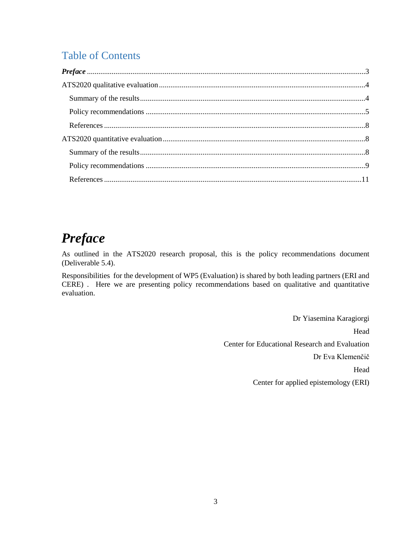# Table of Contents

# <span id="page-2-0"></span>*Preface*

As outlined in the ATS2020 research proposal, this is the policy recommendations document (Deliverable 5.4).

Responsibilities for the development of WP5 (Evaluation) is shared by both leading partners (ERI and CERE) . Here we are presenting policy recommendations based on qualitative and quantitative evaluation.

> Dr Yiasemina Karagiorgi Head Center for Educational Research and Evaluation Dr Eva Klemenčič Head Center for applied epistemology (ERI)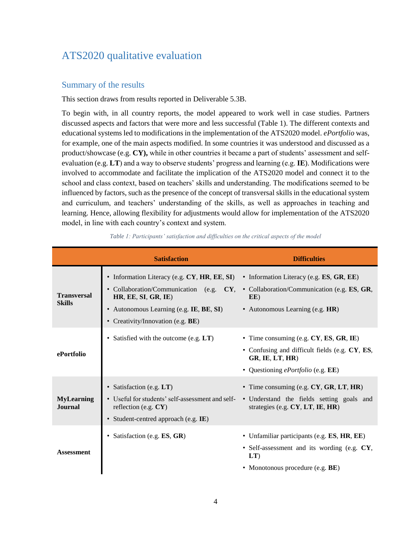# <span id="page-3-0"></span>ATS2020 qualitative evaluation

# <span id="page-3-1"></span>Summary of the results

This section draws from results reported in Deliverable 5.3B.

To begin with, in all country reports, the model appeared to work well in case studies. Partners discussed aspects and factors that were more and less successful (Table 1). The different contexts and educational systems led to modifications in the implementation of the ATS2020 model. *ePortfolio* was, for example, one of the main aspects modified. In some countries it was understood and discussed as a product/showcase (e.g. **CY),** while in other countries it became a part of students' assessment and selfevaluation (e.g. **LT**) and a way to observe students' progress and learning (e.g. **IE**). Modifications were involved to accommodate and facilitate the implication of the ATS2020 model and connect it to the school and class context, based on teachers' skills and understanding. The modifications seemed to be influenced by factors, such as the presence of the concept of transversal skills in the educational system and curriculum, and teachers' understanding of the skills, as well as approaches in teaching and learning. Hence, allowing flexibility for adjustments would allow for implementation of the ATS2020 model, in line with each country's context and system.

|                                     | <b>Satisfaction</b>                                                                                                                                                                            | <b>Difficulties</b>                                                                                                                                             |
|-------------------------------------|------------------------------------------------------------------------------------------------------------------------------------------------------------------------------------------------|-----------------------------------------------------------------------------------------------------------------------------------------------------------------|
| <b>Transversal</b><br><b>Skills</b> | • Information Literacy (e.g. CY, HR, EE, SI)<br>• Collaboration/Communication (e.g. CY,<br>HR, EE, SI, GR, IE)<br>• Autonomous Learning (e.g. IE, BE, SI)<br>• Creativity/Innovation (e.g. BE) | • Information Literacy (e.g. $ES$ , $GR$ , $EE$ )<br>• Collaboration/Communication (e.g. ES, GR,<br>EE)<br>• Autonomous Learning (e.g. HR)                      |
| ePortfolio                          | • Satisfied with the outcome (e.g. LT)                                                                                                                                                         | • Time consuming (e.g. CY, ES, GR, IE)<br>• Confusing and difficult fields (e.g. CY, ES,<br>GR, IE, LT, HR<br>• Questioning <i>ePortfolio</i> (e.g. <b>EE</b> ) |
| <b>MyLearning</b><br><b>Journal</b> | • Satisfaction (e.g. LT)<br>• Useful for students' self-assessment and self-<br>reflection (e.g. $CY$ )<br>· Student-centred approach (e.g. IE)                                                | • Time consuming (e.g. CY, GR, LT, HR)<br>• Understand the fields setting goals and<br>strategies (e.g. CY, LT, IE, HR)                                         |
| <b>Assessment</b>                   | Satisfaction (e.g. ES, GR)                                                                                                                                                                     | • Unfamiliar participants (e.g. ES, HR, EE)<br>• Self-assessment and its wording (e.g. CY,<br>LT<br>• Monotonous procedure (e.g. BE)                            |

*Table 1: Participants' satisfaction and difficulties on the critical aspects of the model*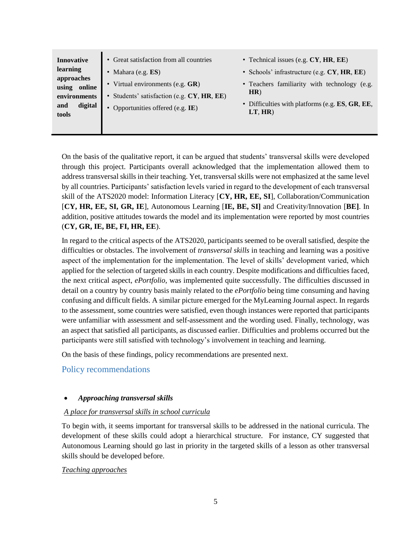| <b>Innovative</b>            | • Great satisfaction from all countries                                           | • Technical issues (e.g. $CY$ , HR, $EE$ )                          |
|------------------------------|-----------------------------------------------------------------------------------|---------------------------------------------------------------------|
| learning<br>approaches       | Mahara (e.g. <b>ES</b> )                                                          | • Schools' infrastructure (e.g. CY, HR, EE)                         |
| using online<br>environments | • Virtual environments (e.g. $GR$ )<br>• Students' satisfaction (e.g. CY, HR, EE) | • Teachers familiarity with technology (e.g.<br>HR)                 |
| digital<br>and<br>tools      | Opportunities offered (e.g. IE)                                                   | • Difficulties with platforms (e.g. $ES, GR, EE$ ,<br>$LT$ , $HR$ ) |
|                              |                                                                                   |                                                                     |

On the basis of the qualitative report, it can be argued that students' transversal skills were developed through this project. Participants overall acknowledged that the implementation allowed them to address transversal skills in their teaching. Yet, transversal skills were not emphasized at the same level by all countries. Participants' satisfaction levels varied in regard to the development of each transversal skill of the ATS2020 model: Information Literacy [**CY, HR, EE, SI**], Collaboration/Communication [**CY, HR, EE, SI, GR, IE**], Autonomous Learning [**IE, BE, SI]** and Creativity/Innovation [**BE]**. In addition, positive attitudes towards the model and its implementation were reported by most countries (**CY, GR, IE, BE, FI, HR, EE**).

In regard to the critical aspects of the ATS2020, participants seemed to be overall satisfied, despite the difficulties or obstacles. The involvement of *transversal skills* in teaching and learning was a positive aspect of the implementation for the implementation. The level of skills' development varied, which applied for the selection of targeted skills in each country. Despite modifications and difficulties faced, the next critical aspect, *ePortfolio*, was implemented quite successfully. The difficulties discussed in detail on a country by country basis mainly related to the *ePortfolio* being time consuming and having confusing and difficult fields. A similar picture emerged for the MyLearning Journal aspect. In regards to the assessment, some countries were satisfied, even though instances were reported that participants were unfamiliar with assessment and self-assessment and the wording used. Finally, technology, was an aspect that satisfied all participants, as discussed earlier. Difficulties and problems occurred but the participants were still satisfied with technology's involvement in teaching and learning.

On the basis of these findings, policy recommendations are presented next.

<span id="page-4-0"></span>Policy recommendations

# *Approaching transversal skills*

## *A place for transversal skills in school curricula*

To begin with, it seems important for transversal skills to be addressed in the national curricula. The development of these skills could adopt a hierarchical structure. For instance, CY suggested that Autonomous Learning should go last in priority in the targeted skills of a lesson as other transversal skills should be developed before.

## *Teaching approaches*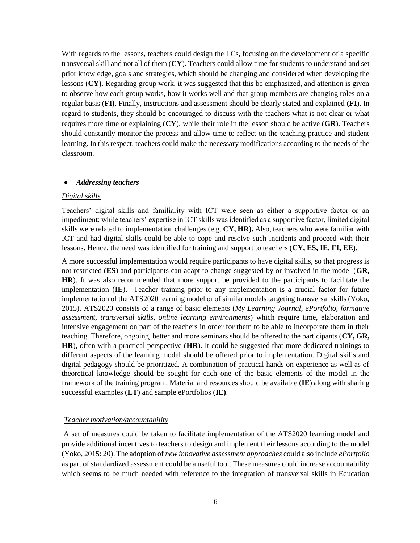With regards to the lessons, teachers could design the LCs, focusing on the development of a specific transversal skill and not all of them (**CY**). Teachers could allow time for students to understand and set prior knowledge, goals and strategies, which should be changing and considered when developing the lessons (**CY)**. Regarding group work, it was suggested that this be emphasized, and attention is given to observe how each group works, how it works well and that group members are changing roles on a regular basis (**FI)**. Finally, instructions and assessment should be clearly stated and explained **(FI**). In regard to students, they should be encouraged to discuss with the teachers what is not clear or what requires more time or explaining (**CY**), while their role in the lesson should be active (**GR**). Teachers should constantly monitor the process and allow time to reflect on the teaching practice and student learning. In this respect, teachers could make the necessary modifications according to the needs of the classroom.

#### *Addressing teachers*

#### *Digital skills*

Teachers' digital skills and familiarity with ICT were seen as either a supportive factor or an impediment; while teachers' expertise in ICT skills was identified as a supportive factor, limited digital skills were related to implementation challenges (e.g. **CY, HR).** Also, teachers who were familiar with ICT and had digital skills could be able to cope and resolve such incidents and proceed with their lessons. Hence, the need was identified for training and support to teachers (**CY, ES, IE, FI, EE**).

A more successful implementation would require participants to have digital skills, so that progress is not restricted (**ES**) and participants can adapt to change suggested by or involved in the model (**GR, HR**). It was also recommended that more support be provided to the participants to facilitate the implementation (**IE**). Teacher training prior to any implementation is a crucial factor for future implementation of the ATS2020 learning model or of similar models targeting transversal skills (Yoko, 2015). ATS2020 consists of a range of basic elements (*My Learning Journal, ePortfolio, formative assessment, transversal skills, online learning environments*) which require time, elaboration and intensive engagement on part of the teachers in order for them to be able to incorporate them in their teaching. Therefore, ongoing, better and more seminars should be offered to the participants (**CY, GR, HR**), often with a practical perspective (**HR**). It could be suggested that more dedicated trainings to different aspects of the learning model should be offered prior to implementation. Digital skills and digital pedagogy should be prioritized. A combination of practical hands on experience as well as of theoretical knowledge should be sought for each one of the basic elements of the model in the framework of the training program. Material and resources should be available (**IE**) along with sharing successful examples (**LT**) and sample ePortfolios (**IE)**.

#### *Teacher motivation/accountability*

A set of measures could be taken to facilitate implementation of the ATS2020 learning model and provide additional incentives to teachers to design and implement their lessons according to the model (Yoko, 2015: 20). The adoption of *new innovative assessment approaches* could also include *ePortfolio*  as part of standardized assessment could be a useful tool. These measures could increase accountability which seems to be much needed with reference to the integration of transversal skills in Education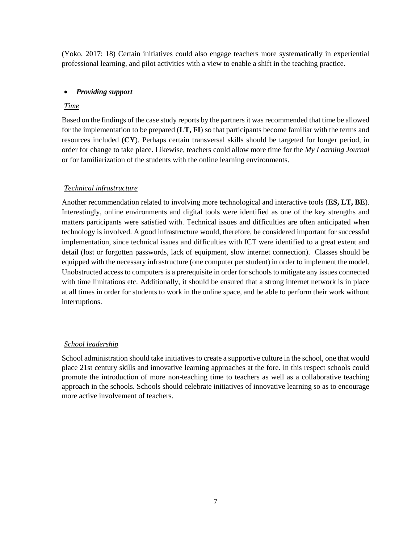(Yoko, 2017: 18) Certain initiatives could also engage teachers more systematically in experiential professional learning, and pilot activities with a view to enable a shift in the teaching practice.

# *Providing support*

## *Time*

Based on the findings of the case study reports by the partners it was recommended that time be allowed for the implementation to be prepared (**LT, FI**) so that participants become familiar with the terms and resources included (**CY**). Perhaps certain transversal skills should be targeted for longer period, in order for change to take place. Likewise, teachers could allow more time for the *My Learning Journal* or for familiarization of the students with the online learning environments.

## *Technical infrastructure*

Another recommendation related to involving more technological and interactive tools (**ES, LT, BE**). Interestingly, online environments and digital tools were identified as one of the key strengths and matters participants were satisfied with. Technical issues and difficulties are often anticipated when technology is involved. A good infrastructure would, therefore, be considered important for successful implementation, since technical issues and difficulties with ICT were identified to a great extent and detail (lost or forgotten passwords, lack of equipment, slow internet connection). Classes should be equipped with the necessary infrastructure (one computer per student) in order to implement the model. Unobstructed access to computers is a prerequisite in order for schools to mitigate any issues connected with time limitations etc. Additionally, it should be ensured that a strong internet network is in place at all times in order for students to work in the online space, and be able to perform their work without interruptions.

## *School leadership*

School administration should take initiatives to create a supportive culture in the school, one that would place 21st century skills and innovative learning approaches at the fore. In this respect schools could promote the introduction of more non-teaching time to teachers as well as a collaborative teaching approach in the schools. Schools should celebrate initiatives of innovative learning so as to encourage more active involvement of teachers.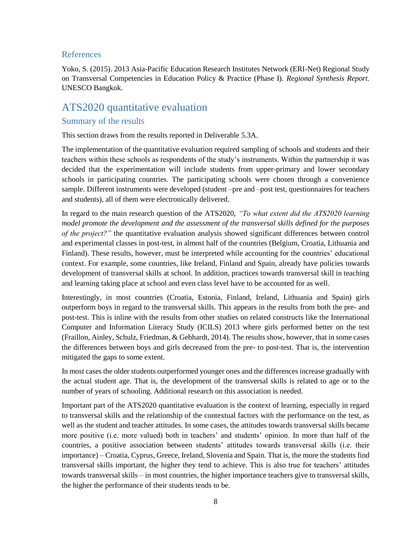### <span id="page-7-0"></span>References

Yoko, S. (2015). 2013 Asia-Pacific Education Research Institutes Network (ERI-Net) Regional Study on Transversal Competencies in Education Policy & Practice (Phase I). *Regional Synthesis Report.* UNESCO Bangkok.

# <span id="page-7-1"></span>ATS2020 quantitative evaluation

# <span id="page-7-2"></span>Summary of the results

This section draws from the results reported in Deliverable 5.3A.

The implementation of the quantitative evaluation required sampling of schools and students and their teachers within these schools as respondents of the study's instruments. Within the partnership it was decided that the experimentation will include students from upper-primary and lower secondary schools in participating countries. The participating schools were chosen through a convenience sample. Different instruments were developed (student –pre and –post test, questionnaires for teachers and students), all of them were electronically delivered.

In regard to the main research question of the ATS2020, *"To what extent did the ATS2020 learning model promote the development and the assessment of the transversal skills defined for the purposes of the project?"* the quantitative evaluation analysis showed significant differences between control and experimental classes in post-test, in almost half of the countries (Belgium, Croatia, Lithuania and Finland). These results, however, must be interpreted while accounting for the countries' educational context. For example, some countries, like Ireland, Finland and Spain, already have policies towards development of transversal skills at school. In addition, practices towards transversal skill in teaching and learning taking place at school and even class level have to be accounted for as well.

Interestingly, in most countries (Croatia, Estonia, Finland, Ireland, Lithuania and Spain) girls outperform boys in regard to the transversal skills. This appears in the results from both the pre- and post-test. This is inline with the results from other studies on related constructs like the International Computer and Information Literacy Study (ICILS) 2013 where girls performed better on the test (Fraillon, Ainley, Schulz, Friedman, & Gebhardt, 2014). The results show, however, that in some cases the differences between boys and girls decreased from the pre- to post-test. That is, the intervention mitigated the gaps to some extent.

In most cases the older students outperformed younger ones and the differences increase gradually with the actual student age. That is, the development of the transversal skills is related to age or to the number of years of schooling. Additional research on this association is needed.

Important part of the ATS2020 quantitative evaluation is the context of learning, especially in regard to transversal skills and the relationship of the contextual factors with the performance on the test, as well as the student and teacher attitudes. In some cases, the attitudes towards transversal skills became more positive (i.e. more valued) both in teachers' and students' opinion. In more than half of the countries, a positive association between students' attitudes towards transversal skills (i.e. their importance) – Croatia, Cyprus, Greece, Ireland, Slovenia and Spain. That is, the more the students find transversal skills important, the higher they tend to achieve. This is also true for teachers' attitudes towards transversal skills – in most countries, the higher importance teachers give to transversal skills, the higher the performance of their students tends to be.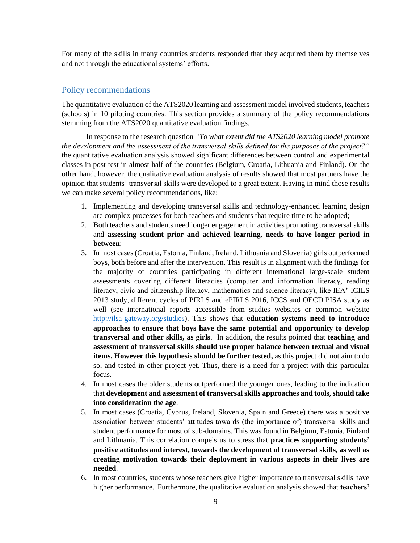For many of the skills in many countries students responded that they acquired them by themselves and not through the educational systems' efforts.

## <span id="page-8-0"></span>Policy recommendations

The quantitative evaluation of the ATS2020 learning and assessment model involved students, teachers (schools) in 10 piloting countries. This section provides a summary of the policy recommendations stemming from the ATS2020 quantitative evaluation findings.

In response to the research question *"To what extent did the ATS2020 learning model promote the development and the assessment of the transversal skills defined for the purposes of the project?"* the quantitative evaluation analysis showed significant differences between control and experimental classes in post-test in almost half of the countries (Belgium, Croatia, Lithuania and Finland). On the other hand, however, the qualitative evaluation analysis of results showed that most partners have the opinion that students' transversal skills were developed to a great extent. Having in mind those results we can make several policy recommendations, like:

- 1. Implementing and developing transversal skills and technology-enhanced learning design are complex processes for both teachers and students that require time to be adopted;
- 2. Both teachers and students need longer engagement in activities promoting transversal skills and **assessing student prior and achieved learning, needs to have longer period in between**;
- 3. In most cases (Croatia, Estonia, Finland, Ireland, Lithuania and Slovenia) girls outperformed boys, both before and after the intervention. This result is in alignment with the findings for the majority of countries participating in different international large-scale student assessments covering different literacies (computer and information literacy, reading literacy, civic and citizenship literacy, mathematics and science literacy), like IEA' ICILS 2013 study, different cycles of PIRLS and ePIRLS 2016, ICCS and OECD PISA study as well (see international reports accessible from studies websites or common website [http://ilsa-gateway.org/studies\)](http://ilsa-gateway.org/studies). This shows that **education systems need to introduce approaches to ensure that boys have the same potential and opportunity to develop transversal and other skills, as girls**. In addition, the results pointed that **teaching and assessment of transversal skills should use proper balance between textual and visual items. However this hypothesis should be further tested,** as this project did not aim to do so, and tested in other project yet. Thus, there is a need for a project with this particular focus.
- 4. In most cases the older students outperformed the younger ones, leading to the indication that **development and assessment of transversal skills approaches and tools, should take into consideration the age**.
- 5. In most cases (Croatia, Cyprus, Ireland, Slovenia, Spain and Greece) there was a positive association between students' attitudes towards (the importance of) transversal skills and student performance for most of sub-domains. This was found in Belgium, Estonia, Finland and Lithuania. This correlation compels us to stress that **practices supporting students' positive attitudes and interest, towards the development of transversal skills, as well as creating motivation towards their deployment in various aspects in their lives are needed**.
- 6. In most countries, students whose teachers give higher importance to transversal skills have higher performance. Furthermore, the qualitative evaluation analysis showed that **teachers'**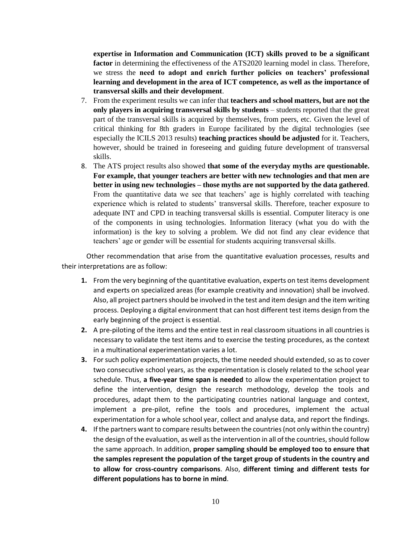**expertise in Information and Communication (ICT) skills proved to be a significant factor** in determining the effectiveness of the ATS2020 learning model in class. Therefore, we stress the **need to adopt and enrich further policies on teachers' professional learning and development in the area of ICT competence, as well as the importance of transversal skills and their development**.

- 7. From the experiment results we can infer that **teachers and school matters, but are not the only players in acquiring transversal skills by students** – students reported that the great part of the transversal skills is acquired by themselves, from peers, etc. Given the level of critical thinking for 8th graders in Europe facilitated by the digital technologies (see especially the ICILS 2013 results) **teaching practices should be adjusted** for it. Teachers, however, should be trained in foreseeing and guiding future development of transversal skills.
- 8. The ATS project results also showed **that some of the everyday myths are questionable. For example, that younger teachers are better with new technologies and that men are better in using new technologies – those myths are not supported by the data gathered**. From the quantitative data we see that teachers' age is highly correlated with teaching experience which is related to students' transversal skills. Therefore, teacher exposure to adequate INT and CPD in teaching transversal skills is essential. Computer literacy is one of the components in using technologies. Information literacy (what you do with the information) is the key to solving a problem. We did not find any clear evidence that teachers' age or gender will be essential for students acquiring transversal skills.

Other recommendation that arise from the quantitative evaluation processes, results and their interpretations are as follow:

- **1.** From the very beginning of the quantitative evaluation, experts on test items development and experts on specialized areas (for example creativity and innovation) shall be involved. Also, all project partners should be involved in the test and item design and the item writing process. Deploying a digital environment that can host different test items design from the early beginning of the project is essential.
- **2.** A pre-piloting of the items and the entire test in real classroom situations in all countries is necessary to validate the test items and to exercise the testing procedures, as the context in a multinational experimentation varies a lot.
- **3.** For such policy experimentation projects, the time needed should extended, so as to cover two consecutive school years, as the experimentation is closely related to the school year schedule. Thus, **a five-year time span is needed** to allow the experimentation project to define the intervention, design the research methodology, develop the tools and procedures, adapt them to the participating countries national language and context, implement a pre-pilot, refine the tools and procedures, implement the actual experimentation for a whole school year, collect and analyse data, and report the findings.
- **4.** If the partners want to compare results between the countries (not only within the country) the design of the evaluation, as well as the intervention in all of the countries, should follow the same approach. In addition, **proper sampling should be employed too to ensure that the samples represent the population of the target group of students in the country and to allow for cross-country comparisons**. Also, **different timing and different tests for different populations has to borne in mind**.